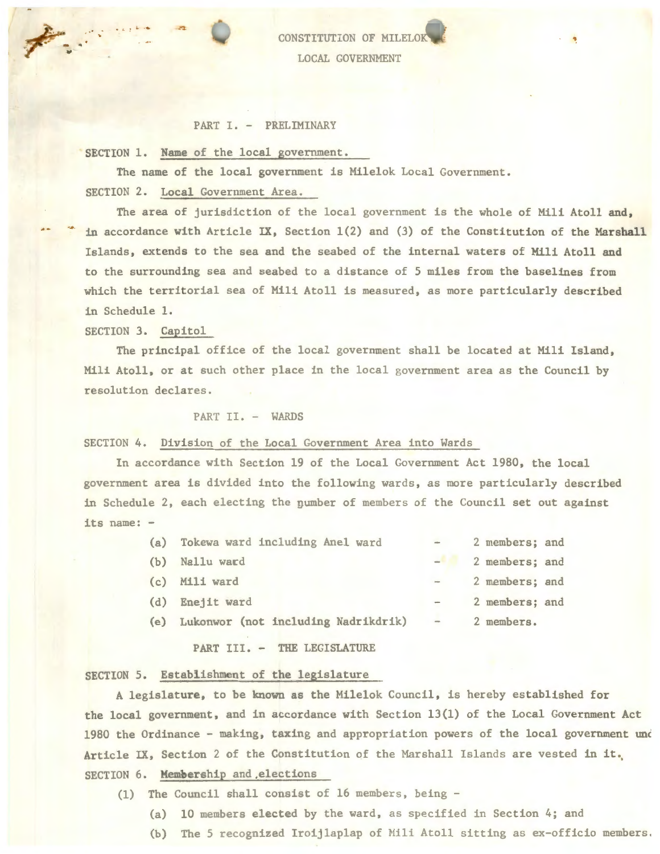CONSTITUTION OF MIL LOCAL GOVERNMENT

## PART I. - PRELIMINARY

SECTION 1. Name of the local government.

The name of the local government is Milelok Local Government. SECTION 2. Local Government Area.

The area of jurisdiction of the local government is the whole of Mili Atoll and, in accordance with Article IX, Section 1(2) and (3) of the Constitution of the Marshall Islands, extends to the sea and the seabed of the internal waters of Mili Atoll and to the surrounding sea and seabed to a distance of 5 miles from the baselines from which the territorial sea of Mili Atoll is measured, as more particularly described in Schedule 1.

SECTION 3. Capitol

The principal office of the local government shall be located at Mili Island, Mili Atoll, or at such other place in the local government area as the Council by resolution declares.

## PART II. - WARDS

#### SECTION 4. Division of the Local Government Area into Wards

In accordance with Section 19 of the Local Government Act 1980, the local government area is divided into the following wards, as more particularly described in Schedule 2, each electing the number of members of the Council set out against its name: -

- (a) Tokewa ward including Anel ward 2 members; and
- 
- 
- 
- (e) Lukonwor (not including Nadrikdrik) 2 members.

PART III. - THE LEGISLATURE

# SECTION 5. Establishment of the legislature

A legislature, to be known as the Milelok Council, is hereby established for the local government, and in accordance with Section 13(1) of the Local Government Act 1980 the Ordinance - making, taxing and appropriation powers of the local government und Article IX, Section 2 of the Constitution of the Marshall Islands are vested in it. SECTION 6. Membership and ,elections

- (1) The Council shall consist of 16 members, being
	- (a) 10 members elected by the ward, as specified in Section 4; and
	- (b) The 5 recognized Iroijlaplap of Mili Atoll sitting as ex-officio members.

(b) Nallu wacd 2 members; and (c) Mili ward - 2 members; and (d) Enejit ward - 2 members; and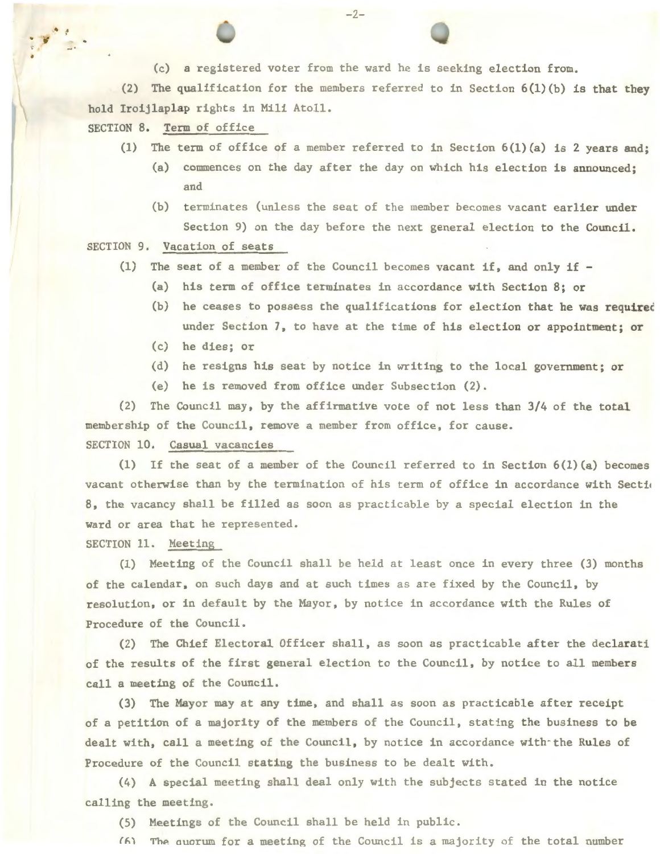(c) a registered voter from the ward he is seeking election from.

 $-2-$ 

(2) The qualification for the members referred to in Section 6(l)(b) is that they hold Iroijlaplap rights in Mili Atoll.

SECTION 8. Term of office

•

- (1) The term of office of a member referred to in Section 6(l)(a) is 2 years and;
	- (a) commences on the day after the day on which his election is announced; and
	- (b) terminates (unless the seat of the member becomes vacant earlier under Section 9) on the day before the next general election to the Council.

SECTION 9. Vacation of seats

- (1) The seat of a member of the Council becomes vacant if, and only if
	- (a) his term of office terminates in accordance with Section 8; or
	- (b) he ceases to possess the qualifications for election that he was requirec under Section 7, to have at the time of his election or appointment; or
	- (c) he dies; or
	- (d) he resigns his seat by notice in writing to the local government; or
	- (e) he is removed from office under Subsection (2).

(2) The Council may, by the affirmative vote of not less than 3/4 of the total membership of the Council, remove a member from office, for cause. SECTION 10. Casual vacancies

(1) If the seat of a member of the Council referred to in Section 6(l)(a) becomes vacant otherwise than by the termination of his term of office in accordance with Section 8, the vacancy shall be filled as soon as practicable by a special election in the ward or area that he represented.

SECTION 11. Meeting

(1) Meeting of the Council shall be held at least once in every three (3) months of the calendar, on such days and at such times as are fixed by the Council, by resolution, or in default by the Mayor, by notice in accordance with the Rules of Procedure of the Council.

(2) The Chief Electoral Officer shall, as soon as practicable after the declarati of the results of the first general election to the Council, by notice to all members call a meeting of the Council.

(3) The Mayor may at any time, and shall as soon as practicable after receipt of a petition of a majority of the members of the Council, stating the business to be dealt with, call a meeting of the Council, by notice in accordance with the Rules of Procedure of the Council stating the business to be dealt with.

(4) A special meeting shall deal only with the subjects stated in the notice calling the meeting.

(5) Meetings of the Council shall be held in public.

 $f(x)$  The quorum for a meeting of the Council is a majority of the total number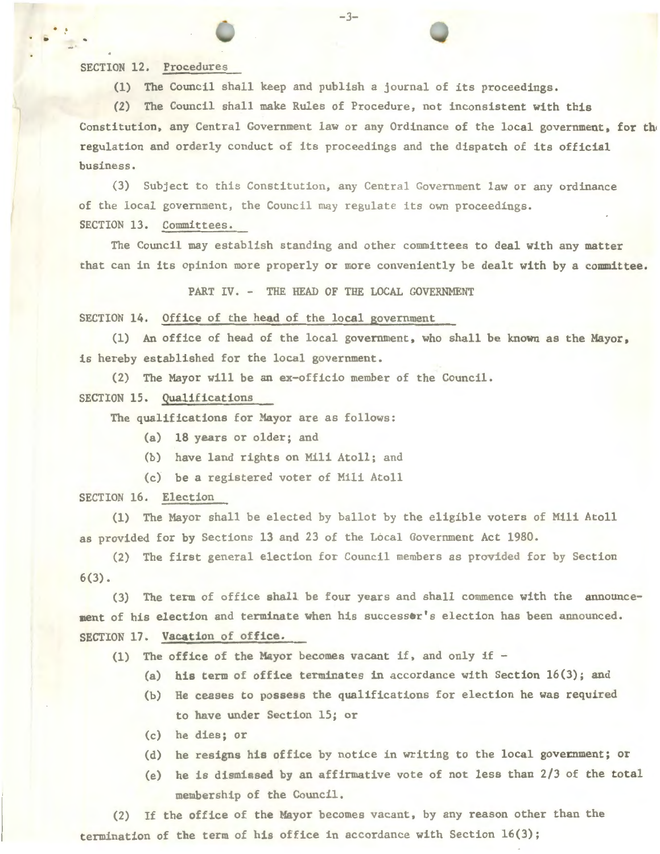SECTION 12. Procedures

 $\ddot{\cdot}$  :

(1) The Council shall keep and publish a journal of its proceedings.

-3-

(2) The Council shall make Rules of Procedure, not inconsistent with this Constitution, any Central Government law or any Ordinance of the local government, for the regulation and orderly conduct of its proceedings and the dispatch of its official business.

(3) Subject to this Constitution, any Central Government law or any ordinance of the local government, the Council nay regulate its own proceedings. SECTION 13. Committees.

The Council may establish standing and other committees to deal with any matter that can in its opinion more properly or more conveniently be dealt with by a committee.

PART IV. - THE HEAD OF THE LOCAL GOVERNMENT

SECTION 14. Office of the head of the local government

(1) An office of head of the local government, who shall be known as the Mayor, is hereby established for the local government.

(2) The Mayor will be an ex-officio member of the Council.

SECTION 15. Qualifications

The qualifications for Mayor are as follows:

- (a) 18 years or older; and
- (b) have land rights on Mili Atoll; and
- (c) be a registered voter of Mili Atoll

SECTION 16. Election

(1) The Mayor shall be elected by ballot by the eligible voters of Mili Atoll as provided for by Sections 13 and 23 of the Local Government Act 1980.

(2) The first general election for Council members as provided for by Section  $6(3)$ .

(3) The term of office shall be four years and shall commence with the announcement of his election and terminate when his successer's election has been announced. SECTION 17. Vacation of office.

(1) The office of the Mayor becomes vacant if, and only if  $-$ 

- (a) his term of office terminates in accordance with Section  $16(3)$ ; and
- (b) He ceases to possess the qualifications for election he was required to have under Section 15; or
- (c) he dies; or
- (d) he resigns his office by notice in writing to the local government; or
- (e) he is dismissed by an affirmative vote of not less than  $2/3$  of the total membership of the Council.

(2) If the office of the Mayor becomes vacant, by any reason other than the termination of the term of his office in accordance with Section 16(3);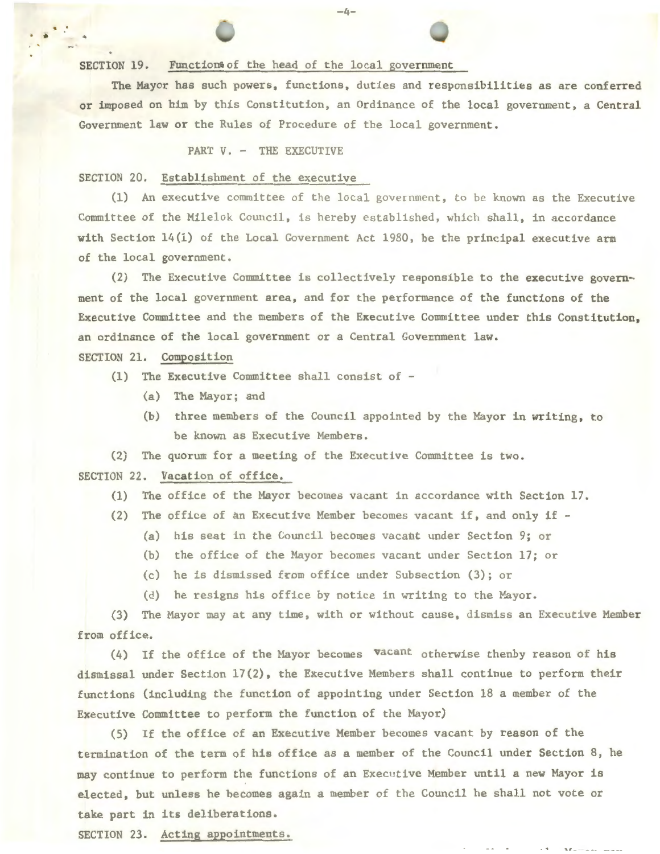SECTION 19. Function of the head of the local government

The Mayor has such powers, functions, duties and responsibilities as are conferred or imposed on him by this Constitution, an Ordinance of the local government, a Central Government law or the Rules of Procedure of the local government .

## PART V. - THE EXECUTIVE

SECTION 20. Establishment of the executive

. . . . -4-

(1) An executive committee of the local government, to be known as the Executive Committee of the Milelok Council, is hereby established, which shall, in accordance with Section 14(1) of the Local Government Act 1980, be the principal executive arm of the local government.

(2) The Executive Committee is collectively responsible to the executive government of the local government area, and for the performance of the functions of the Executive Committee and the members of the EKecutive Committee under this Constitution, an ordinance of the local government or a Central Government law.

# SECTION 21. Composition

- (1) The Executive Committee shall consist of
	- (a) The Mayor; and
	- (b) three members of the Council appointed by the Mayor in writing, to be known as Executive Members.

(2) The quorum for a meeting of the Executive Committee is two . SECTION 22. Vacation of office.

- (1) The office of the Mayor becomes vacant in accordance with Section 17.
- (2) The office of an Executive Member becomes vacant if, and only if
	- (a) his seat in the Council becomes vacant under Section 9; or
	- (b) the office of the Mayor becomes vacant under Section 17; or
	- $(c)$  he is dismissed from office under Subsection (3); or
	- (d) he resigns his office by notice in writing to the Mayor.

(3) The Mayor may at any time, with or without cause, dismiss an Executive Member from office.

(4) If the office of the Mayor becomes vacant otherwise thenby reason of his dismissal under Section 17(2), the Executive Members shall continue to perform their functions (including the function of appointing under Section 18 a member of the Executive Committee to perform the function of the Mayor)

(5) If the office of an Executive Member becomes vacant by reason of the termination of the term of his office as a member of the Council under Section 8, he may continue to perform the functions of an Executive Member until a new Mayor is elected, but unless he becomes again a member of the Council he shall not vote or take part in its deliberations.

*'-1 -* --- ----

SECTION 23. Acting appointments.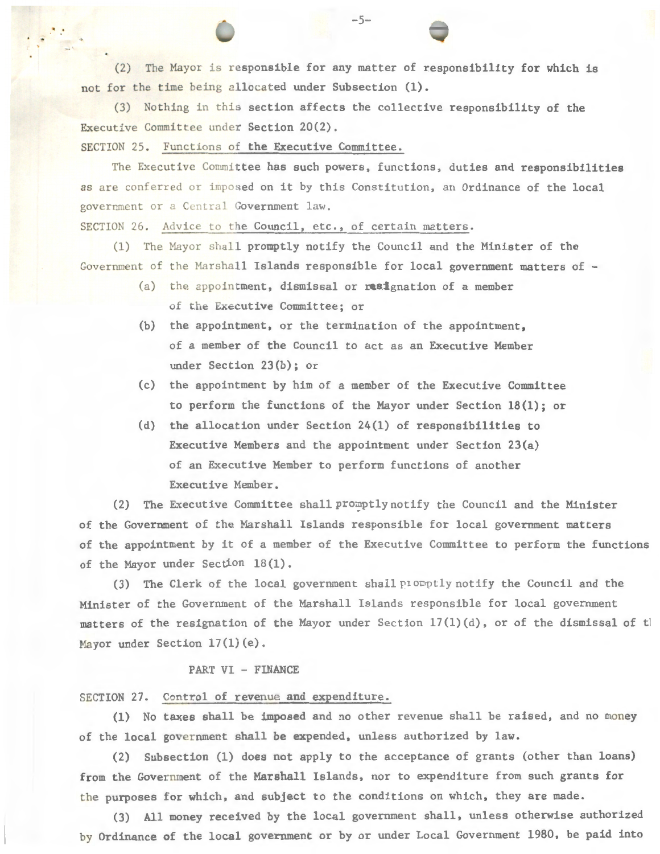(2) The Mayor is responsible for any matter of responsibility for which is not for the time being allocated under Subsection (1).

(3) Nothing in this section affects the collective responsibility of the Executive Committee under Section 20(2).

SECTION 25. Functions of the Executive Committee.

. . -5-

The Executive Committee has such powers, functions, duties and responsibilities as are conferred or imposed on it by this Constitution, an Ordinance of the local government or a Central Government law.

SECTION 26. Advice to the Council, etc., of certain matters.

(1) The Mayor shall promptly notify the Council and the Minister of the Government of the Marshall Islands responsible for local government matters of -

- (a) the appointment, dismissal or resignation of a member of the Executive Committee; or
- (b) the appointment, or the termination of the appointment, of a member of the Council to act as an Executive Member under Section 23(b); or
- (c) the appointment by him of a member of the Executive Committee to perform the functions of the Mayor under Section 18(1); or
- (d) the allocation under Section 24(1) of responsibilities to Executive Members and the appointment under Section 23(a) of an Executive Member to perform functions of another Executive Member.

(2) The Executive Committee shall promptly notify the Council and the Minister of the Government of the Marshall Islands responsible for local government matters of the appointment by it of a member of the Executive Committee to perform the functions of the Mayor under Section 18 (1).

(3) The Clerk of the local government shall promptly notify the Council and the Minister of the Government of the Marshall Islands responsible for local government matters of the resignation of the Mayor under Section 17(1)(d), or of the dismissal of the Mayor under Section 17(1)(e).

#### PART VI - FINANCE

# SECTION 27. Control of revenue and expenditure.

(1) No taxes shall be imposed and no other revenue shall be raised, and no money of the local government shall be expended, unless authorized by law.

(2) Subsection (1) does not apply to the acceptance of grants (other than loans) from the Government of the Marshall Islands, nor to expenditure from such grants for the purposes for which, and subject to the conditions on which, they are made.

(3) All money received by the local government shall, unless otherwise authorized by Ordinance of the local government or by or under Local Government 1980, be paid into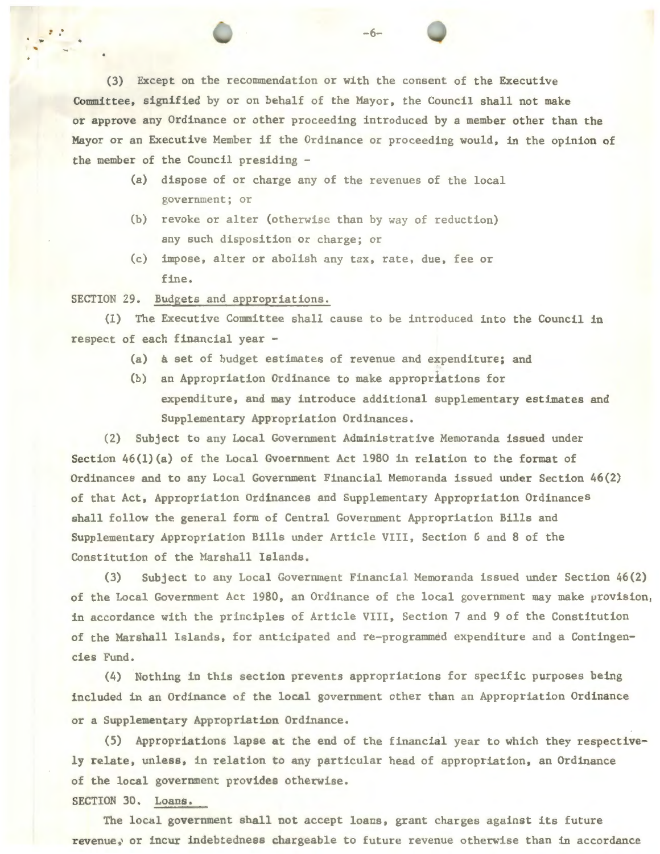(3) Except on the recommendation or with the consent of the Executive Committee, signified by or on behalf of the Mayor, the Council shall not make or approve any Ordinance or other proceeding introduced by a member other than the Mayor or an Executive Member if the Ordinance or proceeding would, in the opinion of the member of the Council presiding -

- (a) dispose of or charge any of the revenues of the local government; or
- (b) revoke or alter (otherwise than by way of reduction) any such disposition or charge; or
- (c) impose, alter or abolish any tax, rate, due, fee or fine.

SECTION 29. Budgets and appropriations.

.. . -6-

.

(1) The Executive Committee shall cause to be introduced into the Council in respect of each financial year -

- (a) a set of budget estimates of revenue and expenditure; and
- (b) an Appropriation Ordinance to make appropriations for expenditure, and may introduce additional supplementary estimates and Supplementary Appropriation Ordinances.

(2) Subject to any Local Government Administrative Memoranda issued under Section 46(l)(a) of the Local Gvoernment Act 1980 in relation to the format of Ordinances and to any Local Government Financial Memoranda issued under Section 46(2) of that Act, Appropriation Ordinances and Supplementary Appropriation Ordinances shall follow the general form of Central Government Appropriation Bills and Supplementary Appropriation Bills under Article VIII, Section 5 and 8 of the Constitution of the Marshall Islands.

(3) Subject to any Local Government Financial Memoranda issued under Section 46(2) of the Local Government Act 1980, an Ordinance of the local government may make provision, in accordance with the principles of Article VIII, Section 7 and 9 of the Constitution of the Marshall Islands, for anticipated and re-programmed expenditure and a Contingencies Fund.

(4) Nothing in this section prevents appropriations for specific purposes being included in an Ordinance of the local government other than an Appropriation Ordinance or a Supplementary Appropriation Ordinance.

(5) Appropriations lapse at the end of the financial year to which they respectively relate, unless, in relation to any particular head of appropriation, an Ordinance of the local government provides otherwise.

SECTION 30. Loans.

The local government shall not accept loans, grant charges against its future revenue, or incur indebtedness chargeable to future revenue otherwise than in accordance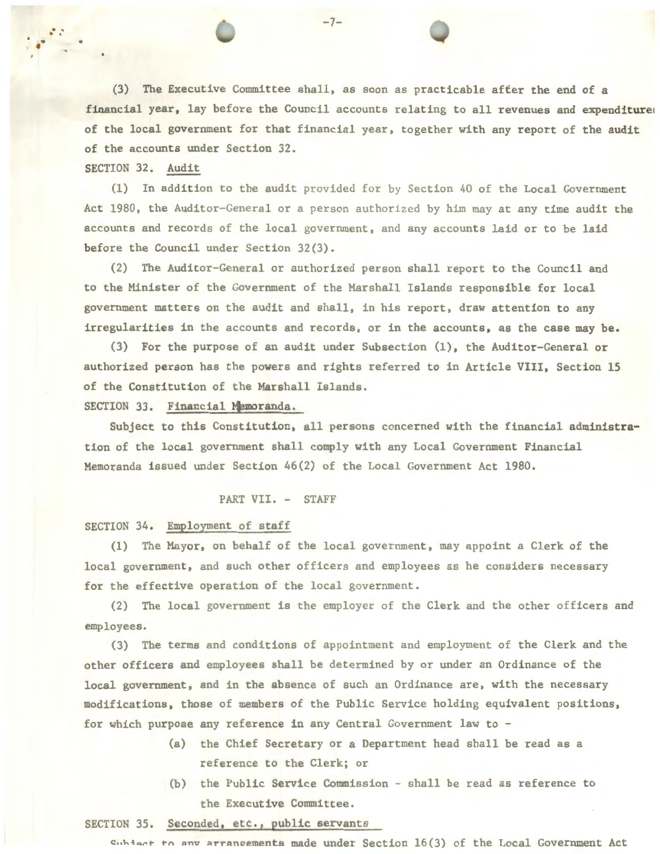(3) The Executive Committee shall, as soon as practicable after the end of a financial year, lay before the Council accounts relating to all revenues and expenditure of the local government for that financial year, together with any report of the audit of the accounts under Section 32.

SECTION 32. Audit

 $(1)$  In addition to the audit provided for by Section 40 of the Local Government Act 1980, the Auditor-General or a person authorized by him may at any time audit the accounts and records of the local government, and any accounts laid or to be laid before the Council under Section 32(3).

(2) The Auditor-General or authorized person shall report to the Council and to the Minister of the Government of the Marshall Islands responsible for local government matters on the audit and shall, in his report, draw attention to any irregularities in the accounts and records, or in the accounts, as the case may be.

(3) For the purpose of an audit under Subsection (1), the Auditor-General or authorized person has the powers and rights referred to in Article VIII, Section 15 of the Constitution of the Marshall Islands.

SECTION 33. Financial Memoranda.

. . .. -7-

Subject to this Constitution, all persons concerned with the financial administration of the local government shall comply with any Local Government Financial Memoranda issued under Section 46(2) of the Local Government Act 1980.

## PART VII. - STAFF

#### SECTION 34. Employment of staff

(1) The Mayor, on behalf of the local government, may appoint a Clerk of the local government, and such other officers and employees as he considers necessary for the effective operation of the local government.

(2) The local government is the employer of the Clerk and the other officers and employees.

(3) The terms and conditions of appointment and employment of the Clerk and the other officers and employees shall be determined by or under an Ordinance of the local government, and in the absence of such an Ordinance are, with the necessary modifications, those of members of the Public Service holding equivalent positions, for which purpose any reference in any Central Government law to -

- (a) the Chief Secretary or a Department head shall be read as a reference to the Clerk; or
- (b) the Public Service Commission shall be read as reference to the Executive Committee.

#### SECTION 35. Seconded, etc., public servants

Cubiect to any arrangements made under Section 16(3) of the Local Government Act